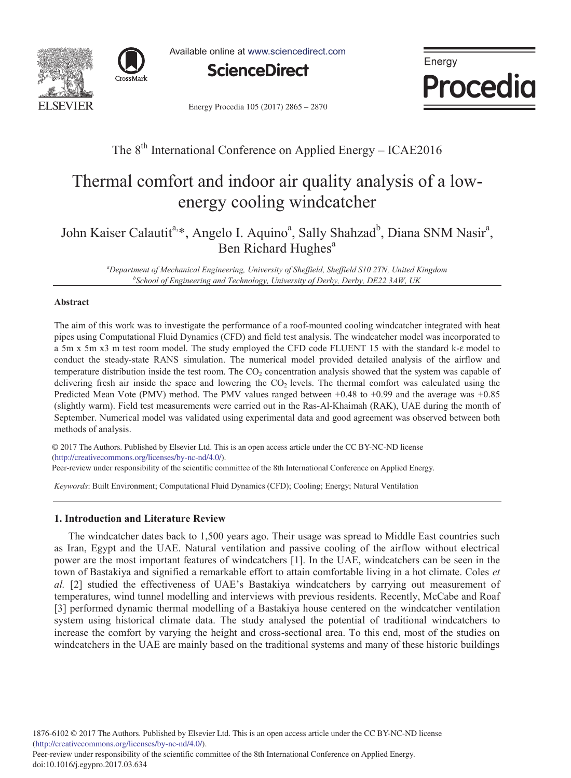



Available online at www.sciencedirect.com



Energy **Procedia** 

Energy Procedia 105 (2017) 2865 - 2870

# The  $8<sup>th</sup>$  International Conference on Applied Energy – ICAE2016

# Thermal comfort and indoor air quality analysis of a lowenergy cooling windcatcher

John Kaiser Calautit<sup>a,\*</sup>, Angelo I. Aquino<sup>a</sup>, Sally Shahzad<sup>b</sup>, Diana SNM Nasir<sup>a</sup>, Ben Richard Hughes<sup>a</sup>

<sup>a</sup> Department of Mechanical Engineering, University of Sheffield, Sheffield S10 2TN, United Kingdom b Cohool of Engineering and Technology University of Derby Derby DE22 3 4W, UK *School of Engineering and Technology, University of Derby, Derby, DE22 3AW, UK* 

#### **Abstract**

The aim of this work was to investigate the performance of a roof-mounted cooling windcatcher integrated with heat pipes using Computational Fluid Dynamics (CFD) and field test analysis. The windcatcher model was incorporated to a 5m x 5m x3 m test room model. The study employed the CFD code FLUENT 15 with the standard k- $\varepsilon$  model to conduct the steady-state RANS simulation. The numerical model provided detailed analysis of the airflow and temperature distribution inside the test room. The  $CO<sub>2</sub>$  concentration analysis showed that the system was capable of delivering fresh air inside the space and lowering the  $CO<sub>2</sub>$  levels. The thermal comfort was calculated using the Predicted Mean Vote (PMV) method. The PMV values ranged between +0.48 to +0.99 and the average was +0.85 (slightly warm). Field test measurements were carried out in the Ras-Al-Khaimah (RAK), UAE during the month of September. Numerical model was validated using experimental data and good agreement was observed between both methods of analysis.

© 2016 The Authors. Published by Elsevier Ltd. (http://creativecommons.org/licenses/by-nc-nd/4.0/). (imp.//creativecommons.org/neenses/oy-ne-nd/+.o/).<br>Peer-review under responsibility of the scientific committee of the 8th International Conference on Applied Energy. © 2017 The Authors. Published by Elsevier Ltd. This is an open access article under the CC BY-NC-ND license

*Keywords*: Built Environment; Computational Fluid Dynamics (CFD); Cooling; Energy; Natural Ventilation

# **1. Introduction and Literature Review**

The windcatcher dates back to 1,500 years ago. Their usage was spread to Middle East countries such as Iran, Egypt and the UAE. Natural ventilation and passive cooling of the airflow without electrical power are the most important features of windcatchers [1]. In the UAE, windcatchers can be seen in the town of Bastakiya and signified a remarkable effort to attain comfortable living in a hot climate. Coles *et al.* [2] studied the effectiveness of UAE's Bastakiya windcatchers by carrying out measurement of temperatures, wind tunnel modelling and interviews with previous residents. Recently, McCabe and Roaf [3] performed dynamic thermal modelling of a Bastakiya house centered on the windcatcher ventilation system using historical climate data. The study analysed the potential of traditional windcatchers to increase the comfort by varying the height and cross-sectional area. To this end, most of the studies on windcatchers in the UAE are mainly based on the traditional systems and many of these historic buildings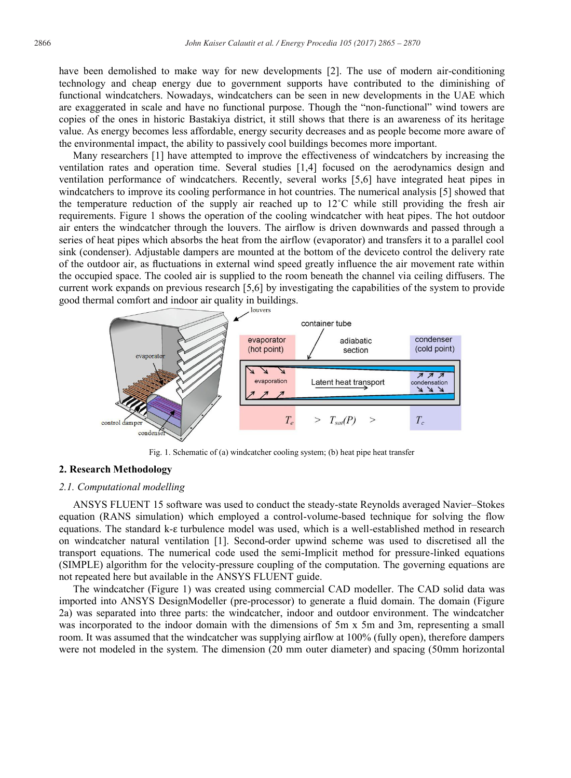have been demolished to make way for new developments [2]. The use of modern air-conditioning technology and cheap energy due to government supports have contributed to the diminishing of functional windcatchers. Nowadays, windcatchers can be seen in new developments in the UAE which are exaggerated in scale and have no functional purpose. Though the "non-functional" wind towers are copies of the ones in historic Bastakiya district, it still shows that there is an awareness of its heritage value. As energy becomes less affordable, energy security decreases and as people become more aware of the environmental impact, the ability to passively cool buildings becomes more important.

Many researchers [1] have attempted to improve the effectiveness of windcatchers by increasing the ventilation rates and operation time. Several studies [1,4] focused on the aerodynamics design and ventilation performance of windcatchers. Recently, several works [5,6] have integrated heat pipes in windcatchers to improve its cooling performance in hot countries. The numerical analysis [5] showed that the temperature reduction of the supply air reached up to  $12^{\circ}$ C while still providing the fresh air requirements. Figure 1 shows the operation of the cooling windcatcher with heat pipes. The hot outdoor air enters the windcatcher through the louvers. The airflow is driven downwards and passed through a series of heat pipes which absorbs the heat from the airflow (evaporator) and transfers it to a parallel cool sink (condenser). Adjustable dampers are mounted at the bottom of the deviceto control the delivery rate of the outdoor air, as fluctuations in external wind speed greatly influence the air movement rate within the occupied space. The cooled air is supplied to the room beneath the channel via ceiling diffusers. The current work expands on previous research [5,6] by investigating the capabilities of the system to provide good thermal comfort and indoor air quality in buildings.



Fig. 1. Schematic of (a) windcatcher cooling system; (b) heat pipe heat transfer

## **2. Research Methodology**

#### *2.1. Computational modelling*

ANSYS FLUENT 15 software was used to conduct the steady-state Reynolds averaged Navier–Stokes equation (RANS simulation) which employed a control-volume-based technique for solving the flow equations. The standard k- $\varepsilon$  turbulence model was used, which is a well-established method in research on windcatcher natural ventilation [1]. Second-order upwind scheme was used to discretised all the transport equations. The numerical code used the semi-Implicit method for pressure-linked equations (SIMPLE) algorithm for the velocity-pressure coupling of the computation. The governing equations are not repeated here but available in the ANSYS FLUENT guide.

The windcatcher (Figure 1) was created using commercial CAD modeller. The CAD solid data was imported into ANSYS DesignModeller (pre-processor) to generate a fluid domain. The domain (Figure 2a) was separated into three parts: the windcatcher, indoor and outdoor environment. The windcatcher was incorporated to the indoor domain with the dimensions of 5m x 5m and 3m, representing a small room. It was assumed that the windcatcher was supplying airflow at 100% (fully open), therefore dampers were not modeled in the system. The dimension (20 mm outer diameter) and spacing (50mm horizontal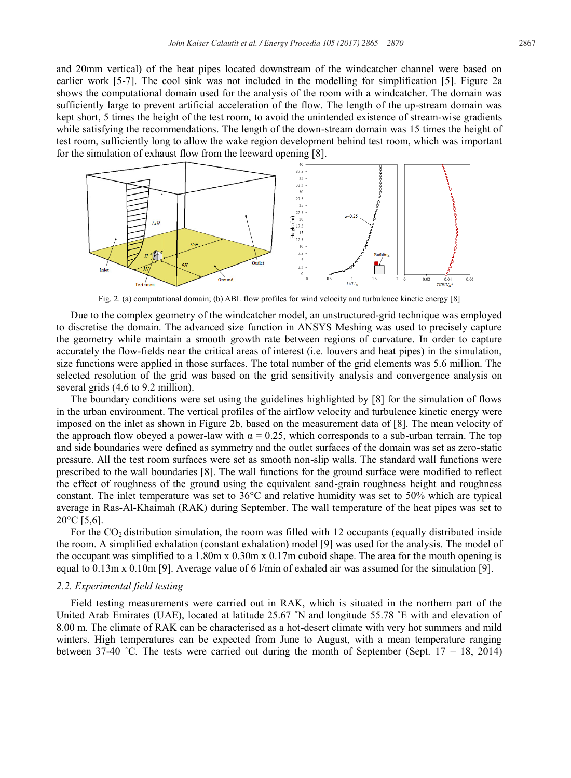and 20mm vertical) of the heat pipes located downstream of the windcatcher channel were based on earlier work [5-7]. The cool sink was not included in the modelling for simplification [5]. Figure 2a shows the computational domain used for the analysis of the room with a windcatcher. The domain was sufficiently large to prevent artificial acceleration of the flow. The length of the up-stream domain was kept short, 5 times the height of the test room, to avoid the unintended existence of stream-wise gradients while satisfying the recommendations. The length of the down-stream domain was 15 times the height of test room, sufficiently long to allow the wake region development behind test room, which was important for the simulation of exhaust flow from the leeward opening [8].



Fig. 2. (a) computational domain; (b) ABL flow profiles for wind velocity and turbulence kinetic energy [8]

Due to the complex geometry of the windcatcher model, an unstructured-grid technique was employed to discretise the domain. The advanced size function in ANSYS Meshing was used to precisely capture the geometry while maintain a smooth growth rate between regions of curvature. In order to capture accurately the flow-fields near the critical areas of interest (i.e. louvers and heat pipes) in the simulation, size functions were applied in those surfaces. The total number of the grid elements was 5.6 million. The selected resolution of the grid was based on the grid sensitivity analysis and convergence analysis on several grids (4.6 to 9.2 million).

The boundary conditions were set using the guidelines highlighted by [8] for the simulation of flows in the urban environment. The vertical profiles of the airflow velocity and turbulence kinetic energy were imposed on the inlet as shown in Figure 2b, based on the measurement data of [8]. The mean velocity of the approach flow obeyed a power-law with  $\alpha = 0.25$ , which corresponds to a sub-urban terrain. The top and side boundaries were defined as symmetry and the outlet surfaces of the domain was set as zero-static pressure. All the test room surfaces were set as smooth non-slip walls. The standard wall functions were prescribed to the wall boundaries [8]. The wall functions for the ground surface were modified to reflect the effect of roughness of the ground using the equivalent sand-grain roughness height and roughness constant. The inlet temperature was set to 36°C and relative humidity was set to 50% which are typical average in Ras-Al-Khaimah (RAK) during September. The wall temperature of the heat pipes was set to  $20^{\circ}$ C [5,6].

For the  $CO<sub>2</sub>$  distribution simulation, the room was filled with 12 occupants (equally distributed inside the room. A simplified exhalation (constant exhalation) model [9] was used for the analysis. The model of the occupant was simplified to a 1.80m x 0.30m x 0.17m cuboid shape. The area for the mouth opening is equal to 0.13m x 0.10m [9]. Average value of 6 l/min of exhaled air was assumed for the simulation [9].

#### *2.2. Experimental field testing*

Field testing measurements were carried out in RAK, which is situated in the northern part of the United Arab Emirates (UAE), located at latitude 25.67 ˚N and longitude 55.78 ˚E with and elevation of 8.00 m. The climate of RAK can be characterised as a hot-desert climate with very hot summers and mild winters. High temperatures can be expected from June to August, with a mean temperature ranging between 37-40 °C. The tests were carried out during the month of September (Sept.  $17 - 18$ , 2014)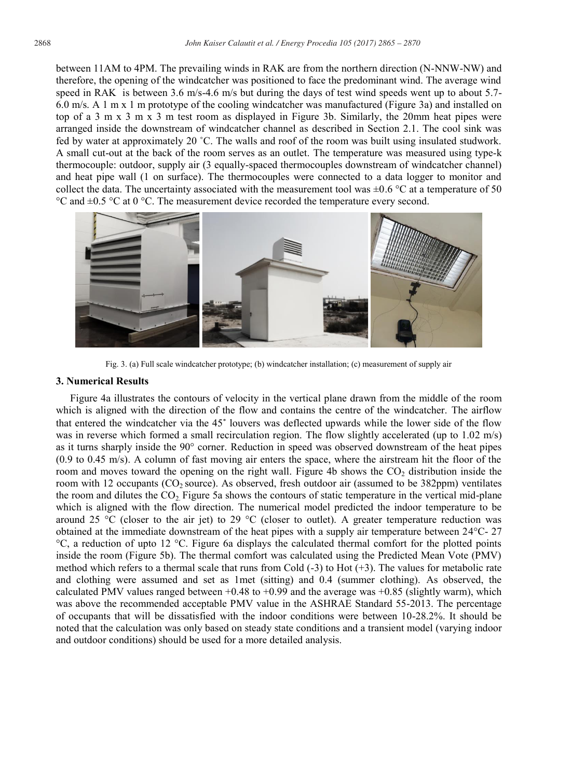between 11AM to 4PM. The prevailing winds in RAK are from the northern direction (N-NNW-NW) and therefore, the opening of the windcatcher was positioned to face the predominant wind. The average wind speed in RAK is between 3.6 m/s-4.6 m/s but during the days of test wind speeds went up to about 5.7-6.0 m/s. A 1 m x 1 m prototype of the cooling windcatcher was manufactured (Figure 3a) and installed on top of a 3 m x 3 m x 3 m test room as displayed in Figure 3b. Similarly, the 20mm heat pipes were arranged inside the downstream of windcatcher channel as described in Section 2.1. The cool sink was fed by water at approximately 20 ˚C. The walls and roof of the room was built using insulated studwork. A small cut-out at the back of the room serves as an outlet. The temperature was measured using type-k thermocouple: outdoor, supply air (3 equally-spaced thermocouples downstream of windcatcher channel) and heat pipe wall (1 on surface). The thermocouples were connected to a data logger to monitor and collect the data. The uncertainty associated with the measurement tool was  $\pm 0.6$  °C at a temperature of 50  $\degree$ C and  $\pm$ 0.5  $\degree$ C at 0  $\degree$ C. The measurement device recorded the temperature every second.



Fig. 3. (a) Full scale windcatcher prototype; (b) windcatcher installation; (c) measurement of supply air

#### **3. Numerical Results**

Figure 4a illustrates the contours of velocity in the vertical plane drawn from the middle of the room which is aligned with the direction of the flow and contains the centre of the windcatcher. The airflow that entered the windcatcher via the 45˚ louvers was deflected upwards while the lower side of the flow was in reverse which formed a small recirculation region. The flow slightly accelerated (up to 1.02 m/s) as it turns sharply inside the 90° corner. Reduction in speed was observed downstream of the heat pipes (0.9 to 0.45 m/s). A column of fast moving air enters the space, where the airstream hit the floor of the room and moves toward the opening on the right wall. Figure 4b shows the  $CO<sub>2</sub>$  distribution inside the room with 12 occupants ( $CO<sub>2</sub> source$ ). As observed, fresh outdoor air (assumed to be 382ppm) ventilates the room and dilutes the  $CO<sub>2</sub>$  Figure 5a shows the contours of static temperature in the vertical mid-plane which is aligned with the flow direction. The numerical model predicted the indoor temperature to be around 25 °C (closer to the air jet) to 29 °C (closer to outlet). A greater temperature reduction was obtained at the immediate downstream of the heat pipes with a supply air temperature between 24°C- 27 °C, a reduction of upto 12 °C. Figure 6a displays the calculated thermal comfort for the plotted points inside the room (Figure 5b). The thermal comfort was calculated using the Predicted Mean Vote (PMV) method which refers to a thermal scale that runs from Cold (-3) to Hot (+3). The values for metabolic rate and clothing were assumed and set as 1met (sitting) and 0.4 (summer clothing). As observed, the calculated PMV values ranged between  $+0.48$  to  $+0.99$  and the average was  $+0.85$  (slightly warm), which was above the recommended acceptable PMV value in the ASHRAE Standard 55-2013. The percentage of occupants that will be dissatisfied with the indoor conditions were between 10-28.2%. It should be noted that the calculation was only based on steady state conditions and a transient model (varying indoor and outdoor conditions) should be used for a more detailed analysis.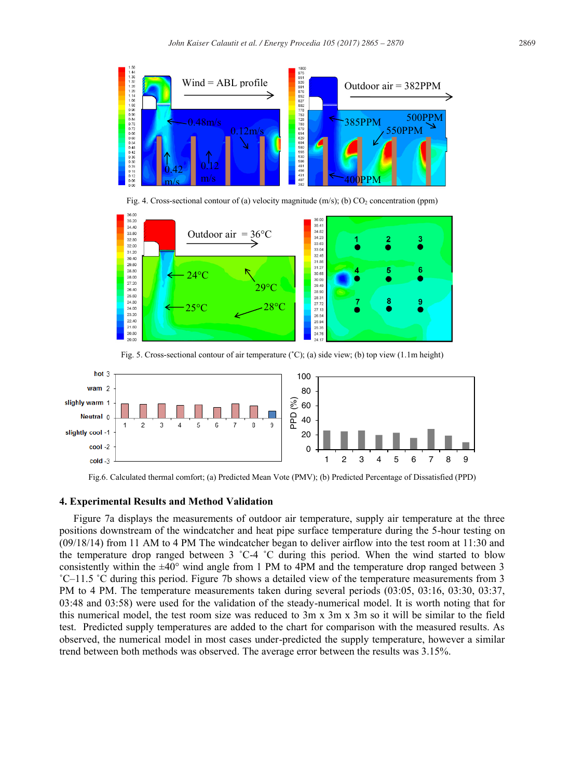





Fig. 5. Cross-sectional contour of air temperature (˚C); (a) side view; (b) top view (1.1m height)



Fig.6. Calculated thermal comfort; (a) Predicted Mean Vote (PMV); (b) Predicted Percentage of Dissatisfied (PPD)

#### **4. Experimental Results and Method Validation**

Figure 7a displays the measurements of outdoor air temperature, supply air temperature at the three positions downstream of the windcatcher and heat pipe surface temperature during the 5-hour testing on (09/18/14) from 11 AM to 4 PM The windcatcher began to deliver airflow into the test room at 11:30 and the temperature drop ranged between 3 ˚C-4 ˚C during this period. When the wind started to blow consistently within the  $\pm 40^{\circ}$  wind angle from 1 PM to 4PM and the temperature drop ranged between 3 ˚C–11.5 ˚C during this period. Figure 7b shows a detailed view of the temperature measurements from 3 PM to 4 PM. The temperature measurements taken during several periods (03:05, 03:16, 03:30, 03:37, 03:48 and 03:58) were used for the validation of the steady-numerical model. It is worth noting that for this numerical model, the test room size was reduced to 3m x 3m x 3m so it will be similar to the field test. Predicted supply temperatures are added to the chart for comparison with the measured results. As observed, the numerical model in most cases under-predicted the supply temperature, however a similar trend between both methods was observed. The average error between the results was 3.15%.